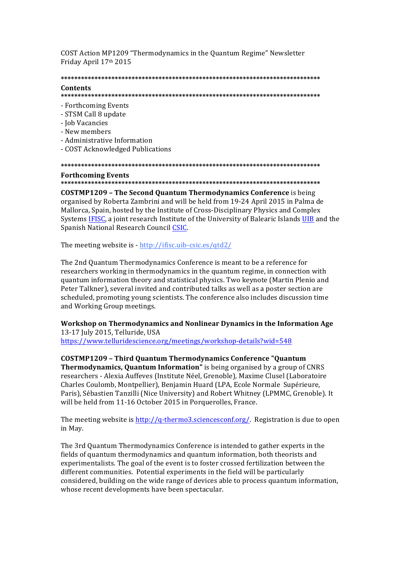COST Action MP1209 "Thermodynamics in the Quantum Regime" Newsletter Friday April 17th 2015

#### 

#### Contents

- Forthcoming Events
- STSM Call 8 undate
- Job Vacancies
- New members
- Administrative Information
- COST Acknowledged Publications

# **Forthcoming Events**

**COSTMP1209 - The Second Ouantum Thermodynamics Conference** is being organised by Roberta Zambrini and will be held from 19-24 April 2015 in Palma de Mallorca, Spain, hosted by the Institute of Cross-Disciplinary Physics and Complex Systems IFISC, a joint research Institute of the University of Balearic Islands UIB and the Spanish National Research Council CSIC.

The meeting website is - http://ifisc.uib-csic.es/gtd2/

The 2nd Quantum Thermodynamics Conference is meant to be a reference for researchers working in thermodynamics in the quantum regime, in connection with quantum information theory and statistical physics. Two keynote (Martin Plenio and Peter Talkner), several invited and contributed talks as well as a poster section are scheduled, promoting young scientists. The conference also includes discussion time and Working Group meetings.

Workshop on Thermodynamics and Nonlinear Dynamics in the Information Age 13-17 July 2015, Telluride, USA

https://www.telluridescience.org/meetings/workshop-details?wid=548

**COSTMP1209 - Third Quantum Thermodynamics Conference "Quantum** Thermodynamics, Quantum Information" is being organised by a group of CNRS researchers - Alexia Auffeves (Institute Néel, Grenoble), Maxime Clusel (Laboratoire Charles Coulomb, Montpellier), Benjamin Huard (LPA, Ecole Normale Supérieure, Paris), Sébastien Tanzilli (Nice University) and Robert Whitney (LPMMC, Grenoble). It will be held from 11-16 October 2015 in Porquerolles, France.

The meeting website is http://q-thermo3.sciencesconf.org/. Registration is due to open in May.

The 3rd Quantum Thermodynamics Conference is intended to gather experts in the fields of quantum thermodynamics and quantum information, both theorists and experimentalists. The goal of the event is to foster crossed fertilization between the different communities. Potential experiments in the field will be particularly considered, building on the wide range of devices able to process quantum information, whose recent developments have been spectacular.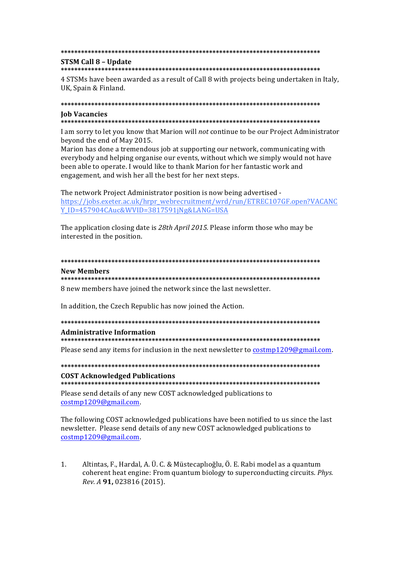#### 

### **STSM Call 8 - Update**

4 STSMs have been awarded as a result of Call 8 with projects being undertaken in Italy. UK, Spain & Finland.

#### 

#### **Iob Vacancies**

I am sorry to let you know that Marion will not continue to be our Project Administrator beyond the end of May 2015.

Marion has done a tremendous job at supporting our network, communicating with everybody and helping organise our events, without which we simply would not have been able to operate. I would like to thank Marion for her fantastic work and engagement, and wish her all the best for her next steps.

The network Project Administrator position is now being advertised https://jobs.exeter.ac.uk/hrpr\_webrecruitment/wrd/run/ETREC107GF.open?VACANC Y ID=457904CAuc&WVID=3817591jNg&LANG=USA

The application closing date is 28th April 2015. Please inform those who may be interested in the position.

## **New Members**

### 

8 new members have joined the network since the last newsletter.

In addition, the Czech Republic has now joined the Action.

# **Administrative Information**

Please send any items for inclusion in the next newsletter to costmp1209@gmail.com.

**COST Acknowledged Publications** 

Please send details of any new COST acknowledged publications to costmp1209@gmail.com.

The following COST acknowledged publications have been notified to us since the last newsletter. Please send details of any new COST acknowledged publications to costmp1209@gmail.com.

 $1.$ Altintas, F., Hardal, A. Ü. C. & Müstecaplıoğlu, Ö. E. Rabi model as a quantum coherent heat engine: From quantum biology to superconducting circuits. Phys. Rev. A 91, 023816 (2015).